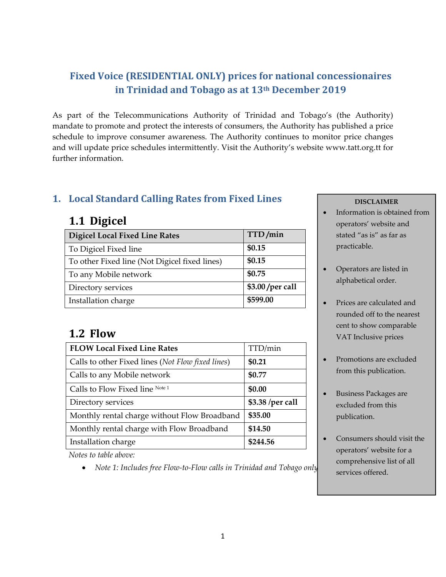### **Fixed Voice (RESIDENTIAL ONLY) prices for national concessionaires in Trinidad and Tobago as at 13th December 2019**

As part of the Telecommunications Authority of Trinidad and Tobago's (the Authority) mandate to promote and protect the interests of consumers, the Authority has published a price schedule to improve consumer awareness. The Authority continues to monitor price changes and will update price schedules intermittently. Visit the Authority's website www.tatt.org.tt for further information.

#### **1. Local Standard Calling Rates from Fixed Lines**

## **1.1 Digicel**

| <b>Digicel Local Fixed Line Rates</b>         | TTD/min          |
|-----------------------------------------------|------------------|
| To Digicel Fixed line                         | \$0.15           |
| To other Fixed line (Not Digicel fixed lines) | \$0.15           |
| To any Mobile network                         | \$0.75           |
| Directory services                            | \$3.00 /per call |
| Installation charge                           | \$599.00         |

## **1.2 Flow**

| <b>FLOW Local Fixed Line Rates</b>                | TTD/min          |
|---------------------------------------------------|------------------|
| Calls to other Fixed lines (Not Flow fixed lines) | \$0.21           |
| Calls to any Mobile network                       | \$0.77           |
| Calls to Flow Fixed line Note 1                   | \$0.00           |
| Directory services                                | \$3.38 /per call |
| Monthly rental charge without Flow Broadband      | \$35.00          |
| Monthly rental charge with Flow Broadband         | \$14.50          |
| Installation charge                               | \$244.56         |

*Notes to table above:* 

*Note 1: Includes free Flow‐to‐Flow calls in Trinidad and Tobago only.*

#### **DISCLAIMER**

- Information is obtained from operators' website and stated "as is" as far as practicable.
- Operators are listed in alphabetical order.
- Prices are calculated and rounded off to the nearest cent to show comparable VAT Inclusive prices
- Promotions are excluded from this publication.
- Business Packages are excluded from this publication.
- Consumers should visit the operators' website for a comprehensive list of all services offered.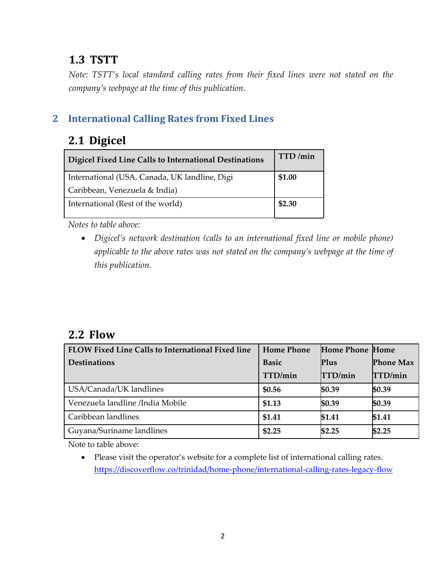## **1.3 TSTT**

*Note: TSTT's local standard calling rates from their fixed lines were not stated on the company's webpage at the time of this publication.* 

#### **2 International Calling Rates from Fixed Lines**

## 2.1 **Digicel**

| Digicel Fixed Line Calls to International Destinations | TTD/min |
|--------------------------------------------------------|---------|
| International (USA, Canada, UK landline, Digi          | \$1.00  |
| Caribbean, Venezuela & India)                          |         |
| International (Rest of the world)                      | \$2.30  |

*Notes to table above:* 

 *Digicel's network destination (calls to an international fixed line or mobile phone) applicable to the above rates was not stated on the company's webpage at the time of this publication.* 

## **2.2 Flow**

| FLOW Fixed Line Calls to International Fixed line | <b>Home Phone</b> | <b>Home Phone Home</b> |                  |
|---------------------------------------------------|-------------------|------------------------|------------------|
| <b>Destinations</b>                               | <b>Basic</b>      | Plus                   | <b>Phone Max</b> |
|                                                   | TTD/min           | TTD/min                | TTD/min          |
| USA/Canada/UK landlines                           | \$0.56            | \$0.39                 | \$0.39           |
| Venezuela landline /India Mobile                  | \$1.13            | \$0.39                 | \$0.39           |
| Caribbean landlines                               | \$1.41            | \$1.41                 | \$1.41           |
| Guyana/Suriname landlines                         | \$2.25            | \$2.25                 | \$2.25           |

Note to table above:

 Please visit the operator's website for a complete list of international calling rates. https://discoverflow.co/trinidad/home‐phone/international‐calling‐rates‐legacy‐flow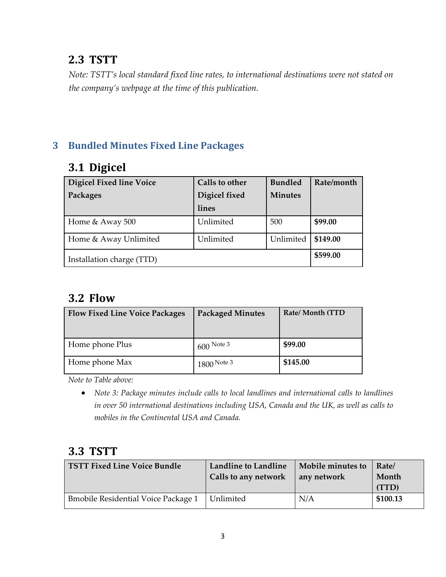## **2.3 TSTT**

*Note: TSTT's local standard fixed line rates, to international destinations were not stated on the company's webpage at the time of this publication.* 

#### **3 Bundled Minutes Fixed Line Packages**

## **3.1 Digicel**

| <b>Digicel Fixed line Voice</b><br>Packages | <b>Calls to other</b><br>Digicel fixed<br>lines | <b>Bundled</b><br><b>Minutes</b> | Rate/month |
|---------------------------------------------|-------------------------------------------------|----------------------------------|------------|
| Home & Away 500                             | Unlimited                                       | 500                              | \$99.00    |
| Home & Away Unlimited                       | Unlimited                                       | Unlimited                        | \$149.00   |
| Installation charge (TTD)                   |                                                 |                                  | \$599.00   |

## **3.2 Flow**

| <b>Flow Fixed Line Voice Packages</b> | <b>Packaged Minutes</b> | Rate/Month (TTD |
|---------------------------------------|-------------------------|-----------------|
| Home phone Plus                       | $1600$ Note 3           | \$99.00         |
| Home phone Max                        | $1800$ Note 3           | \$145.00        |

*Note to Table above:*

 *Note 3: Package minutes include calls to local landlines and international calls to landlines in over 50 international destinations including USA, Canada and the UK, as well as calls to mobiles in the Continental USA and Canada.*

## **3.3 TSTT**

| <b>TSTT Fixed Line Voice Bundle</b>        | <b>Landline to Landline</b><br>Calls to any network | Mobile minutes to<br>any network | Rate/<br>Month<br>(TTD) |
|--------------------------------------------|-----------------------------------------------------|----------------------------------|-------------------------|
| <b>Bmobile Residential Voice Package 1</b> | Unlimited                                           | N/A                              | \$100.13                |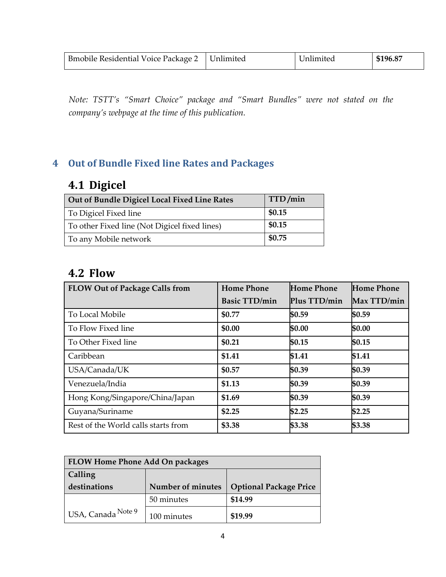| Bmobile Residential Voice Package 2   Unlimited | Unlimited | \$196.87 |
|-------------------------------------------------|-----------|----------|
|                                                 |           |          |

*Note: TSTT's "Smart Choice" package and "Smart Bundles" were not stated on the company's webpage at the time of this publication.* 

## **4 Out of Bundle Fixed line Rates and Packages**

# **4.1 Digicel**

| Out of Bundle Digicel Local Fixed Line Rates  | TTD/min |
|-----------------------------------------------|---------|
| To Digicel Fixed line                         | \$0.15  |
| To other Fixed line (Not Digicel fixed lines) | \$0.15  |
| To any Mobile network                         | \$0.75  |

#### **4.2 Flow**

| <b>FLOW Out of Package Calls from</b> | <b>Home Phone</b>    | Home Phone   | <b>Home Phone</b> |
|---------------------------------------|----------------------|--------------|-------------------|
|                                       | <b>Basic TTD/min</b> | Plus TTD/min | Max TTD/min       |
| To Local Mobile                       | \$0.77               | \$0.59       | \$0.59            |
| To Flow Fixed line                    | \$0.00               | \$0.00       | \$0.00            |
| To Other Fixed line                   | \$0.21               | \$0.15       | \$0.15            |
| Caribbean                             | \$1.41               | \$1.41       | \$1.41            |
| USA/Canada/UK                         | \$0.57               | \$0.39       | \$0.39            |
| Venezuela/India                       | \$1.13               | \$0.39       | \$0.39            |
| Hong Kong/Singapore/China/Japan       | \$1.69               | \$0.39       | \$0.39            |
| Guyana/Suriname                       | \$2.25               | \$2.25       | \$2.25            |
| Rest of the World calls starts from   | \$3.38               | \$3.38       | \$3.38            |

| <b>FLOW Home Phone Add On packages</b>     |                   |                               |
|--------------------------------------------|-------------------|-------------------------------|
| Calling                                    |                   |                               |
| destinations                               | Number of minutes | <b>Optional Package Price</b> |
|                                            | 50 minutes        | \$14.99                       |
| <sup>1</sup> USA, Canada <sup>Note 9</sup> | 100 minutes       | \$19.99                       |